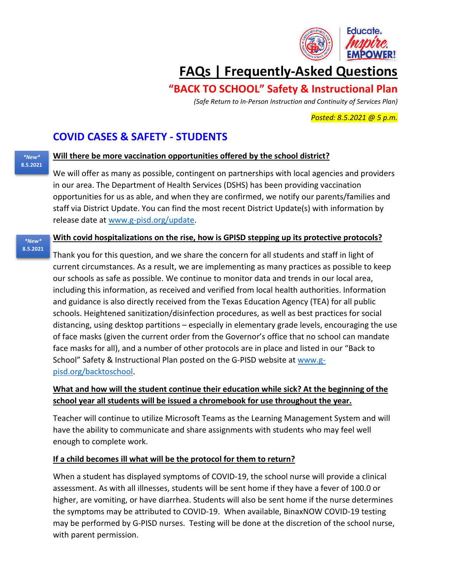

# **FAQs | Frequently-Asked Questions**

## **"BACK TO SCHOOL" Safety & Instructional Plan**

*(Safe Return to In-Person Instruction and Continuity of Services Plan)*

*Posted: 8.5.2021 @ 5 p.m.*

## **COVID CASES & SAFETY - STUDENTS**

*\*New\** **8.5.2021**

*\*New\** **8.5.2021**

### **Will there be more vaccination opportunities offered by the school district?**

We will offer as many as possible, contingent on partnerships with local agencies and providers in our area. The Department of Health Services (DSHS) has been providing vaccination opportunities for us as able, and when they are confirmed, we notify our parents/families and staff via District Update. You can find the most recent District Update(s) with information by release date at [www.g-pisd.org/update.](http://www.g-pisd.org/update)

### **With covid hospitalizations on the rise, how is GPISD stepping up its protective protocols?**

Thank you for this question, and we share the concern for all students and staff in light of current circumstances. As a result, we are implementing as many practices as possible to keep our schools as safe as possible. We continue to monitor data and trends in our local area, including this information, as received and verified from local health authorities. Information and guidance is also directly received from the Texas Education Agency (TEA) for all public schools. Heightened sanitization/disinfection procedures, as well as best practices for social distancing, using desktop partitions – especially in elementary grade levels, encouraging the use of face masks (given the current order from the Governor's office that no school can mandate face masks for all), and a number of other protocols are in place and listed in our "Back to School" Safety & Instructional Plan posted on the G-PISD website at [www.g](http://www.g-pisd.org/backtoschool)[pisd.org/backtoschool.](http://www.g-pisd.org/backtoschool)

### **What and how will the student continue their education while sick? At the beginning of the school year all students will be issued a chromebook for use throughout the year.**

Teacher will continue to utilize Microsoft Teams as the Learning Management System and will have the ability to communicate and share assignments with students who may feel well enough to complete work.

### **If a child becomes ill what will be the protocol for them to return?**

When a student has displayed symptoms of COVID-19, the school nurse will provide a clinical assessment. As with all illnesses, students will be sent home if they have a fever of 100.0 or higher, are vomiting, or have diarrhea. Students will also be sent home if the nurse determines the symptoms may be attributed to COVID-19. When available, BinaxNOW COVID-19 testing may be performed by G-PISD nurses. Testing will be done at the discretion of the school nurse, with parent permission.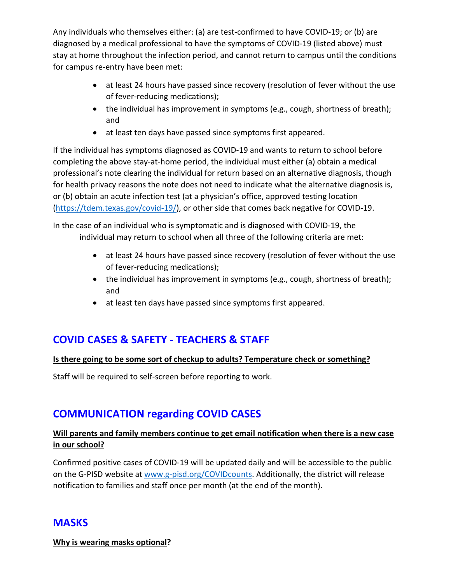Any individuals who themselves either: (a) are test-confirmed to have COVID-19; or (b) are diagnosed by a medical professional to have the symptoms of COVID-19 (listed above) must stay at home throughout the infection period, and cannot return to campus until the conditions for campus re-entry have been met:

- at least 24 hours have passed since recovery (resolution of fever without the use of fever-reducing medications);
- the individual has improvement in symptoms (e.g., cough, shortness of breath); and
- at least ten days have passed since symptoms first appeared.

If the individual has symptoms diagnosed as COVID-19 and wants to return to school before completing the above stay-at-home period, the individual must either (a) obtain a medical professional's note clearing the individual for return based on an alternative diagnosis, though for health privacy reasons the note does not need to indicate what the alternative diagnosis is, or (b) obtain an acute infection test (at a physician's office, approved testing location [\(https://tdem.texas.gov/covid-19/\)](https://tdem.texas.gov/covid-19/), or other side that comes back negative for COVID-19.

In the case of an individual who is symptomatic and is diagnosed with COVID-19, the individual may return to school when all three of the following criteria are met:

- at least 24 hours have passed since recovery (resolution of fever without the use of fever-reducing medications);
- the individual has improvement in symptoms (e.g., cough, shortness of breath); and
- at least ten days have passed since symptoms first appeared.

## **COVID CASES & SAFETY - TEACHERS & STAFF**

### **Is there going to be some sort of checkup to adults? Temperature check or something?**

Staff will be required to self-screen before reporting to work.

## **COMMUNICATION regarding COVID CASES**

### **Will parents and family members continue to get email notification when there is a new case in our school?**

Confirmed positive cases of COVID-19 will be updated daily and will be accessible to the public on the G-PISD website at [www.g-pisd.org/COVIDcounts.](http://www.g-pisd.org/COVIDcounts) Additionally, the district will release notification to families and staff once per month (at the end of the month).

## **MASKS**

**Why is wearing masks optional?**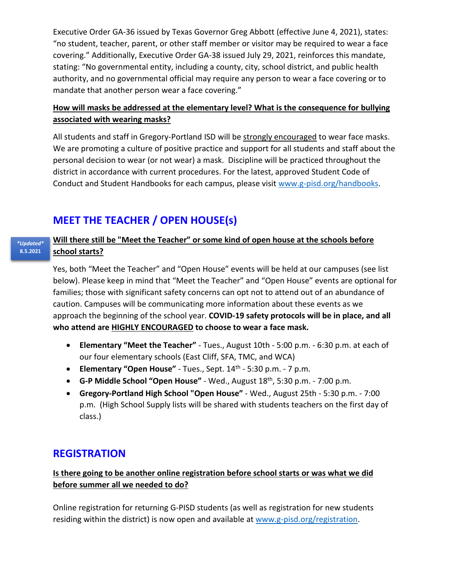Executive Order GA-36 issued by Texas Governor Greg Abbott (effective June 4, 2021), states: "no student, teacher, parent, or other staff member or visitor may be required to wear a face covering." Additionally, Executive Order GA-38 issued July 29, 2021, reinforces this mandate, stating: "No governmental entity, including a county, city, school district, and public health authority, and no governmental official may require any person to wear a face covering or to mandate that another person wear a face covering."

### **How will masks be addressed at the elementary level? What is the consequence for bullying associated with wearing masks?**

All students and staff in Gregory-Portland ISD will be strongly encouraged to wear face masks. We are promoting a culture of positive practice and support for all students and staff about the personal decision to wear (or not wear) a mask. Discipline will be practiced throughout the district in accordance with current procedures. For the latest, approved Student Code of Conduct and Student Handbooks for each campus, please visit [www.g-pisd.org/handbooks.](http://www.g-pisd.org/handbooks)

## **MEET THE TEACHER / OPEN HOUSE(s)**

#### **Will there still be "Meet the Teacher" or some kind of open house at the schools before school starts?** *\*Updated\** **8.5.2021**

Yes, both "Meet the Teacher" and "Open House" events will be held at our campuses (see list below). Please keep in mind that "Meet the Teacher" and "Open House" events are optional for families; those with significant safety concerns can opt not to attend out of an abundance of caution. Campuses will be communicating more information about these events as we approach the beginning of the school year. **COVID-19 safety protocols will be in place, and all who attend are HIGHLY ENCOURAGED to choose to wear a face mask.**

- **Elementary "Meet the Teacher"** Tues., August 10th 5:00 p.m. 6:30 p.m. at each of our four elementary schools (East Cliff, SFA, TMC, and WCA)
- **Elementary "Open House"**  Tues., Sept. 14th 5:30 p.m. 7 p.m.
- **G-P Middle School "Open House"**  Wed., August 18th, 5:30 p.m. 7:00 p.m.
- **Gregory-Portland High School "Open House"** Wed., August 25th 5:30 p.m. 7:00 p.m. (High School Supply lists will be shared with students teachers on the first day of class.)

## **REGISTRATION**

### **Is there going to be another online registration before school starts or was what we did before summer all we needed to do?**

Online registration for returning G-PISD students (as well as registration for new students residing within the district) is now open and available at [www.g-pisd.org/registration.](http://www.g-pisd.org/registration)